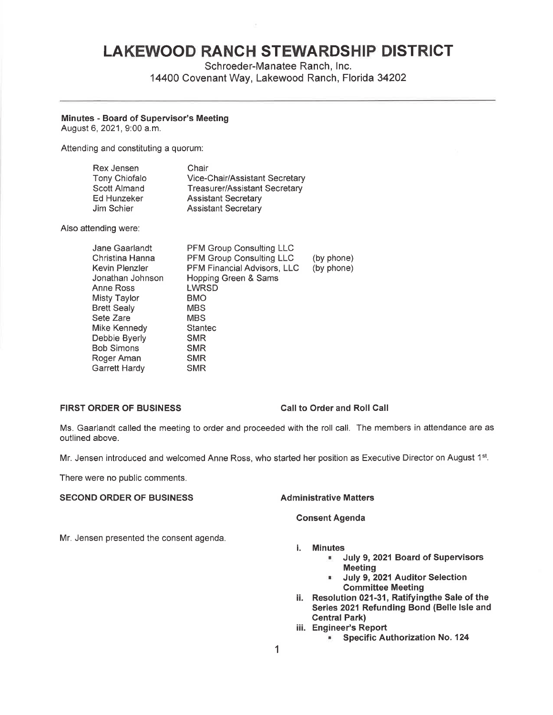# **LAKEWOOD RANCH STEWARDSHIP DISTRICT**

Schroeder-Manatee Ranch, Inc. 14400 Covenant Way, Lakewood Ranch, Florida 34202

## **Minutes** - **Board of Supervisor's Meeting**

August 6, 2021, 9:00 a.m.

Attending and constituting a quorum:

| Rex Jensen    | Chair                                 |
|---------------|---------------------------------------|
| Tony Chiofalo | <b>Vice-Chair/Assistant Secretary</b> |
| Scott Almand  | <b>Treasurer/Assistant Secretary</b>  |
| Ed Hunzeker   | <b>Assistant Secretary</b>            |
| Jim Schier    | <b>Assistant Secretary</b>            |

Also attending were:

| Jane Gaarlandt     | <b>PFM Group Consulting LLC</b>    |            |
|--------------------|------------------------------------|------------|
| Christina Hanna    | <b>PFM Group Consulting LLC</b>    | (by phone) |
| Kevin Plenzler     | <b>PFM Financial Advisors, LLC</b> | (by phone) |
| Jonathan Johnson   | Hopping Green & Sams               |            |
| Anne Ross          | LWRSD                              |            |
| Misty Taylor       | <b>BMO</b>                         |            |
| <b>Brett Sealy</b> | <b>MBS</b>                         |            |
| Sete Zare          | <b>MBS</b>                         |            |
| Mike Kennedy       | <b>Stantec</b>                     |            |
| Debbie Byerly      | <b>SMR</b>                         |            |
| Bob Simons         | <b>SMR</b>                         |            |
| Roger Aman         | <b>SMR</b>                         |            |
| Garrett Hardy      | <b>SMR</b>                         |            |
|                    |                                    |            |

### **FIRST ORDER OF BUSINESS Call to Order and Roll Call**

Ms. Gaarlandt called the meeting to order and proceeded with the roll call. The members in attendance are as outlined above.

Mr. Jensen introduced and welcomed Anne Ross, who started her position as Executive Director on August 1st.

There were no public comments.

### **SECOND ORDER OF BUSINESS Administrative Matters**

### **Consent Agenda**

Mr. Jensen presented the consent agenda.

- i. **Minutes** 
	- **July 9, 2021 Board of Supervisors Meeting**
	- **July 9, 2021 Auditor Selection Committee Meeting**
- ii. **Resolution 021-31, Ratifyingthe Sale of the Series 2021 Refunding Bond (Belle Isle and Central Park)**
- iii. **Engineer's Report** 
	- **Specific Authorization No. 124**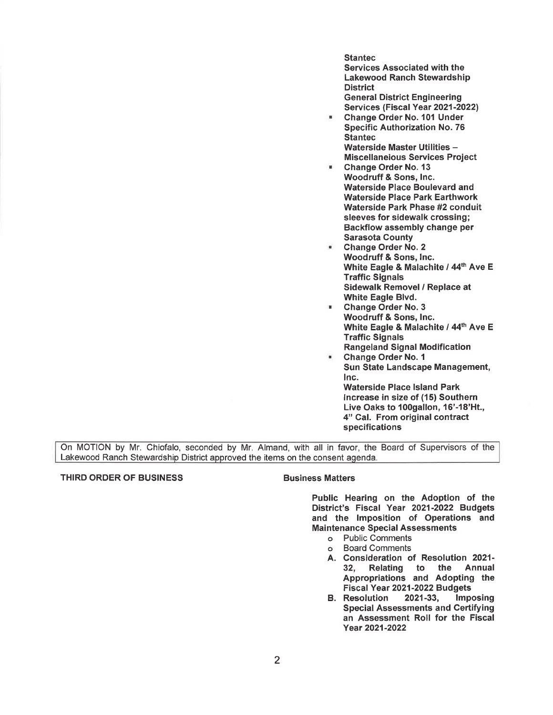**Stantec** Services Associated with the Lakewood Ranch Stewardship **District** General District Engineering Services (Fiscal Year 2021-2022)

- Change Order No. 101 Under Specific Authorization No. 76 **Stantec** Waterside Master Utilities -Miscellaneious Services Project
- Change Order No. 13 Woodruff & Sons, Inc. Waterside Place Boulevard and Waterside Place Park Earthwork Waterside Park Phase #2 conduit sleeves for sidewalk crossing; Backflow assembly change per Sarasota County
- Change Order No. 2 Woodruff & Sons, Inc. White Eagle & Malachite / 44<sup>th</sup> Ave E Traffic Signals Sidewalk Removel / Replace at White Eagle Blvd.
- Change Order No. 3 Woodruff & Sons, Inc. White Eagle & Malachite / 44th Ave E Traffic Signals Rangeland Signal Modification
- Change Order No. 1 Sun State Landscape Management, Inc. Waterside Place Island Park Increase in size of **(15)** Southern Live Oaks to 100gallon, 16'-18'Ht., 4" Cal. From original contract specifications

On MOTION by Mr. Chiofalo, seconded by Mr. Almand, with all in favor, the Board of Supervisors of the Lakewood Ranch Stewardship District approved the items on the consent agenda.

### THIRD ORDER OF BUSINESS **BUSINGS** Business Matters

Public Hearing on the Adoption of the District's Fiscal Year 2021-2022 Budgets and the Imposition of Operations and Maintenance Special Assessments

- o Public Comments
- o Board Comments
- A. Consideration of Resolution 2021- 32, Relating to the Annual Appropriations and Adopting the Fiscal Year 2021-2022 Budgets
- B. Resolution 2021-33, Imposing Special Assessments and Certifying an Assessment Roll for the Fiscal Year 2021-2022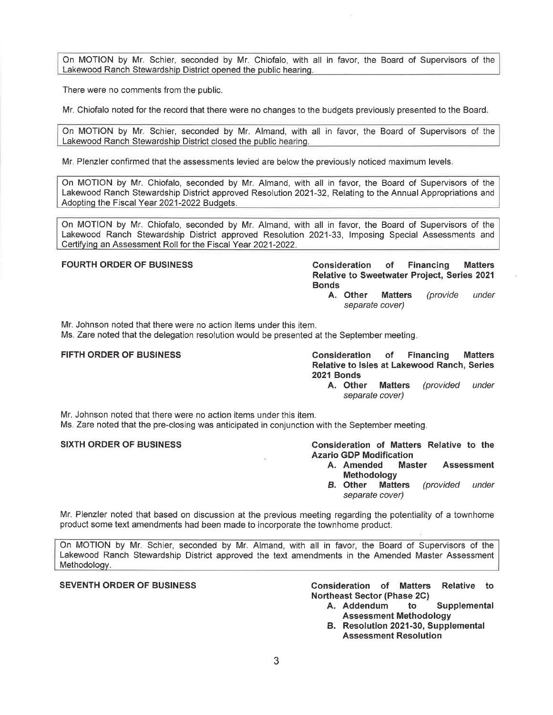On MOTION by Mr. Schier, seconded by Mr. Chiofalo, with all in favor, the Board of Supervisors of the Lakewood Ranch Stewardship District opened the public hearing.

There were no comments from the public.

Mr. Chiofalo noted for the record that there were no changes to the budgets previously presented to the Board.

On MOTION by Mr. Schier, seconded by Mr. Almand, with all in favor, the Board of Supervisors of the Lakewood Ranch Stewardship District closed the public hearing.

Mr. Plenzler confirmed that the assessments levied are below the previously noticed maximum levels.

On MOTION by Mr. Chiofalo, seconded by Mr. Almand, with all in favor, the Board of Supervisors of the Lakewood Ranch Stewardship District approved Resolution 2021-32, Relating to the Annual Appropriations and Adopting the Fiscal Year 2021-2022 Budgets.

On MOTION by Mr. Chiofalo, seconded by Mr. Almand, with all in favor, the Board of Supervisors of the Lakewood Ranch Stewardship District approved Resolution 2021-33, Imposing Special Assessments and CertifvinQ an Assessment Roll for the Fiscal Year 2021-2022.

**FOURTH ORDER OF BUSINESS CONSIDERED FOURTH ORDER OF BUSINESS Relative to Sweetwater Project, Series 2021 Bonds** 

**A. Other Matters** (provide under separate cover)

Mr. Johnson noted that there were no action items under this item.

Ms. Zare noted that the delegation resolution would be presented at the September meeting.

**FIFTH ORDER OF BUSINESS Consideration of Financing Matters Relative to Isles at Lakewood Ranch, Series 2021 Bonds** 

**A. Other Matters** (provided under separate cover)

Mr. Johnson noted that there were no action items under this item. Ms. Zare noted that the pre-closing was anticipated in conjunction with the September meeting.

SIXTH ORDER OF BUSINESS **Consideration of Matters Relative to the Azario GDP Modification** 

- **A. Amended Master Assessment Methodology**
- *B.* **Other Matters** (provided under separate cover)

Mr. Plenzler noted that based on discussion at the previous meeting regarding the potentiality of a townhome product some text amendments had been made to incorporate the town home product.

On MOTION by Mr. Schier, seconded by Mr. Almand, with all in favor, the Board of Supervisors of the Lakewood Ranch Stewardship District approved the text amendments in the Amended Master Assessment Methodoloav.

**SEVENTH ORDER OF BUSINESS Consideration of Matters Relative to Northeast Sector (Phase 2C)** 

- **A. Addendum to Supplemental Assessment Methodology**
- **B. Resolution 2021-30, Supplemental Assessment Resolution**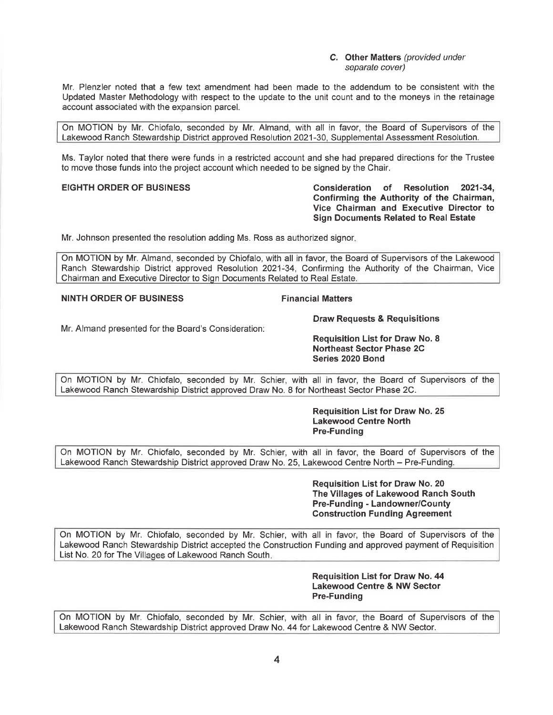**C. Other Matters** (provided under separate cover)

Mr. Plenzler noted that a few text amendment had been made to the addendum to be consistent with the Updated Master Methodology with respect to the update to the unit count and to the moneys in the retainage account associated with the expansion parcel.

On MOTION by Mr. Chiofalo, seconded by Mr. Almand, with all in favor, the Board of Supervisors of the Lakewood Ranch Stewardship District approved Resolution 2021-30, Supplemental Assessment Resolution.

Ms. Taylor noted that there were funds in a restricted account and she had prepared directions for the Trustee to move those funds into the project account which needed to be signed by the Chair.

**EIGHTH ORDER OF BUSINESS Consideration of Resolution 2021-34, Confirming the Authority of the Chairman, Vice Chairman and Executive Director to Sign Documents Related to Real Estate** 

Mr. Johnson presented the resolution adding Ms. Ross as authorized signor.

On MOTION by Mr. Almand, seconded by Chiofalo, with all in favor, the Board of Supervisors of the Lakewood Ranch Stewardship District approved Resolution 2021~34, Confirming the Authority of the Chairman, Vice Chairman and Executive Director to SiQn Documents Related to Real Estate.

### **NINTH ORDER OF BUSINESS FINALLY RESISTING FINANCIAL Matters**

**Draw Requests & Requisitions** 

Mr. Almand presented for the Board's Consideration:

**Requisition List for Draw No. 8 Northeast Sector Phase 2C Series 2020 Bond** 

On MOTION by Mr. Chiofalo, seconded by Mr. Schier, with all in favor, the Board of Supervisors of the Lakewood Ranch Stewardship District approved Draw No. 8 for Northeast Sector Phase 2C.

> **Requisition List for Draw No. 25 Lakewood Centre North Pre-Funding**

On MOTION by Mr. Chiofalo, seconded by Mr. Schier, with all in favor, the Board of Supervisors of the Lakewood Ranch Stewardship District approved Draw No. 25, Lakewood Centre North - Pre-Funding.

> **Requisition List for Draw No. 20 The Villages of Lakewood Ranch South Pre-Funding - Landowner/County Construction Funding Agreement**

On MOTION by Mr. Chiofalo, seconded by Mr. Schier, with all in favor, the Board of Supervisors of the Lakewood Ranch Stewardship District accepted the Construction Funding and approved payment of Requisition List No. 20 for The Villages of Lakewood Ranch South.

> **Requisition List for Draw No. 44 Lakewood Centre & NW Sector Pre-Funding**

On MOTION by Mr. Chiofalo, seconded by Mr. Schier, with all in favor, the Board of Supervisors of the Lakewood Ranch Stewardship District approved Draw No. 44 for Lakewood Centre & NW Sector.